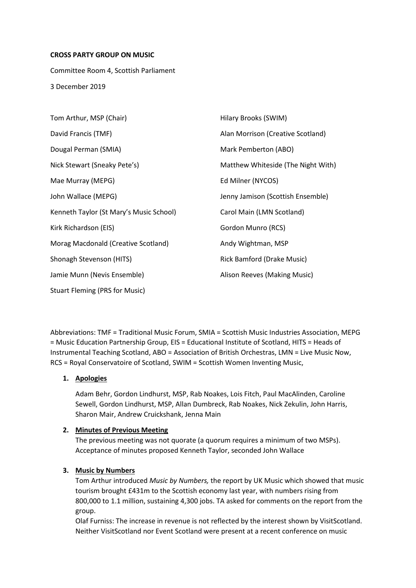#### **CROSS PARTY GROUP ON MUSIC**

Committee Room 4, Scottish Parliament 3 December 2019

| Tom Arthur, MSP (Chair)                 | Hilary Brooks (SWIM)               |
|-----------------------------------------|------------------------------------|
| David Francis (TMF)                     | Alan Morrison (Creative Scotland)  |
| Dougal Perman (SMIA)                    | Mark Pemberton (ABO)               |
| Nick Stewart (Sneaky Pete's)            | Matthew Whiteside (The Night With) |
| Mae Murray (MEPG)                       | Ed Milner (NYCOS)                  |
| John Wallace (MEPG)                     | Jenny Jamison (Scottish Ensemble)  |
| Kenneth Taylor (St Mary's Music School) | Carol Main (LMN Scotland)          |
| Kirk Richardson (EIS)                   | Gordon Munro (RCS)                 |
| Morag Macdonald (Creative Scotland)     | Andy Wightman, MSP                 |
| Shonagh Stevenson (HITS)                | Rick Bamford (Drake Music)         |
| Jamie Munn (Nevis Ensemble)             | Alison Reeves (Making Music)       |
| <b>Stuart Fleming (PRS for Music)</b>   |                                    |

Abbreviations: TMF = Traditional Music Forum, SMIA = Scottish Music Industries Association, MEPG = Music Education Partnership Group, EIS = Educational Institute of Scotland, HITS = Heads of Instrumental Teaching Scotland, ABO = Association of British Orchestras, LMN = Live Music Now, RCS = Royal Conservatoire of Scotland, SWIM = Scottish Women Inventing Music,

## **1. Apologies**

Adam Behr, Gordon Lindhurst, MSP, Rab Noakes, Lois Fitch, Paul MacAlinden, Caroline Sewell, Gordon Lindhurst, MSP, Allan Dumbreck, Rab Noakes, Nick Zekulin, John Harris, Sharon Mair, Andrew Cruickshank, Jenna Main

## **2. Minutes of Previous Meeting**

The previous meeting was not quorate (a quorum requires a minimum of two MSPs). Acceptance of minutes proposed Kenneth Taylor, seconded John Wallace

# **3. Music by Numbers**

Tom Arthur introduced *Music by Numbers,* the report by UK Music which showed that music tourism brought £431m to the Scottish economy last year, with numbers rising from 800,000 to 1.1 million, sustaining 4,300 jobs. TA asked for comments on the report from the group.

Olaf Furniss: The increase in revenue is not reflected by the interest shown by VisitScotland. Neither VisitScotland nor Event Scotland were present at a recent conference on music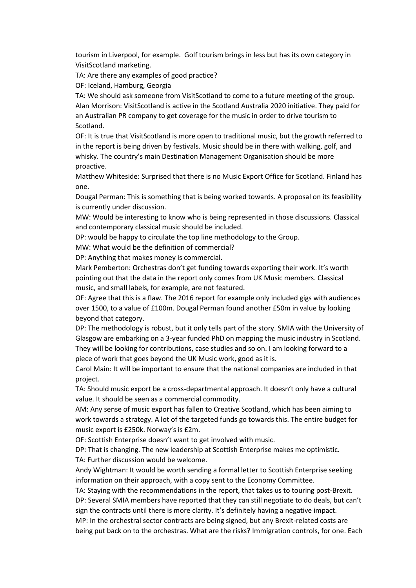tourism in Liverpool, for example. Golf tourism brings in less but has its own category in VisitScotland marketing.

TA: Are there any examples of good practice?

OF: Iceland, Hamburg, Georgia

TA: We should ask someone from VisitScotland to come to a future meeting of the group. Alan Morrison: VisitScotland is active in the Scotland Australia 2020 initiative. They paid for an Australian PR company to get coverage for the music in order to drive tourism to Scotland.

OF: It is true that VisitScotland is more open to traditional music, but the growth referred to in the report is being driven by festivals. Music should be in there with walking, golf, and whisky. The country's main Destination Management Organisation should be more proactive.

Matthew Whiteside: Surprised that there is no Music Export Office for Scotland. Finland has one.

Dougal Perman: This is something that is being worked towards. A proposal on its feasibility is currently under discussion.

MW: Would be interesting to know who is being represented in those discussions. Classical and contemporary classical music should be included.

DP: would be happy to circulate the top line methodology to the Group.

MW: What would be the definition of commercial?

DP: Anything that makes money is commercial.

Mark Pemberton: Orchestras don't get funding towards exporting their work. It's worth pointing out that the data in the report only comes from UK Music members. Classical music, and small labels, for example, are not featured.

OF: Agree that this is a flaw. The 2016 report for example only included gigs with audiences over 1500, to a value of £100m. Dougal Perman found another £50m in value by looking beyond that category.

DP: The methodology is robust, but it only tells part of the story. SMIA with the University of Glasgow are embarking on a 3-year funded PhD on mapping the music industry in Scotland. They will be looking for contributions, case studies and so on. I am looking forward to a piece of work that goes beyond the UK Music work, good as it is.

Carol Main: It will be important to ensure that the national companies are included in that project.

TA: Should music export be a cross-departmental approach. It doesn't only have a cultural value. It should be seen as a commercial commodity.

AM: Any sense of music export has fallen to Creative Scotland, which has been aiming to work towards a strategy. A lot of the targeted funds go towards this. The entire budget for music export is £250k. Norway's is £2m.

OF: Scottish Enterprise doesn't want to get involved with music.

DP: That is changing. The new leadership at Scottish Enterprise makes me optimistic. TA: Further discussion would be welcome.

Andy Wightman: It would be worth sending a formal letter to Scottish Enterprise seeking information on their approach, with a copy sent to the Economy Committee.

TA: Staying with the recommendations in the report, that takes us to touring post-Brexit. DP: Several SMIA members have reported that they can still negotiate to do deals, but can't sign the contracts until there is more clarity. It's definitely having a negative impact. MP: In the orchestral sector contracts are being signed, but any Brexit-related costs are

being put back on to the orchestras. What are the risks? Immigration controls, for one. Each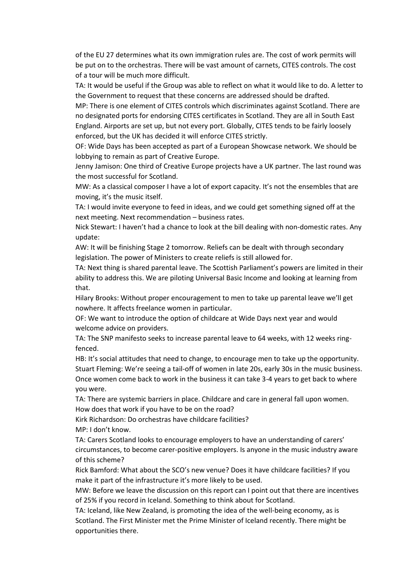of the EU 27 determines what its own immigration rules are. The cost of work permits will be put on to the orchestras. There will be vast amount of carnets, CITES controls. The cost of a tour will be much more difficult.

TA: It would be useful if the Group was able to reflect on what it would like to do. A letter to the Government to request that these concerns are addressed should be drafted.

MP: There is one element of CITES controls which discriminates against Scotland. There are no designated ports for endorsing CITES certificates in Scotland. They are all in South East England. Airports are set up, but not every port. Globally, CITES tends to be fairly loosely enforced, but the UK has decided it will enforce CITES strictly.

OF: Wide Days has been accepted as part of a European Showcase network. We should be lobbying to remain as part of Creative Europe.

Jenny Jamison: One third of Creative Europe projects have a UK partner. The last round was the most successful for Scotland.

MW: As a classical composer I have a lot of export capacity. It's not the ensembles that are moving, it's the music itself.

TA: I would invite everyone to feed in ideas, and we could get something signed off at the next meeting. Next recommendation – business rates.

Nick Stewart: I haven't had a chance to look at the bill dealing with non-domestic rates. Any update:

AW: It will be finishing Stage 2 tomorrow. Reliefs can be dealt with through secondary legislation. The power of Ministers to create reliefs is still allowed for.

TA: Next thing is shared parental leave. The Scottish Parliament's powers are limited in their ability to address this. We are piloting Universal Basic Income and looking at learning from that.

Hilary Brooks: Without proper encouragement to men to take up parental leave we'll get nowhere. It affects freelance women in particular.

OF: We want to introduce the option of childcare at Wide Days next year and would welcome advice on providers.

TA: The SNP manifesto seeks to increase parental leave to 64 weeks, with 12 weeks ringfenced.

HB: It's social attitudes that need to change, to encourage men to take up the opportunity. Stuart Fleming: We're seeing a tail-off of women in late 20s, early 30s in the music business. Once women come back to work in the business it can take 3-4 years to get back to where you were.

TA: There are systemic barriers in place. Childcare and care in general fall upon women. How does that work if you have to be on the road?

Kirk Richardson: Do orchestras have childcare facilities? MP: I don't know.

TA: Carers Scotland looks to encourage employers to have an understanding of carers' circumstances, to become carer-positive employers. Is anyone in the music industry aware of this scheme?

Rick Bamford: What about the SCO's new venue? Does it have childcare facilities? If you make it part of the infrastructure it's more likely to be used.

MW: Before we leave the discussion on this report can I point out that there are incentives of 25% if you record in Iceland. Something to think about for Scotland.

TA: Iceland, like New Zealand, is promoting the idea of the well-being economy, as is Scotland. The First Minister met the Prime Minister of Iceland recently. There might be opportunities there.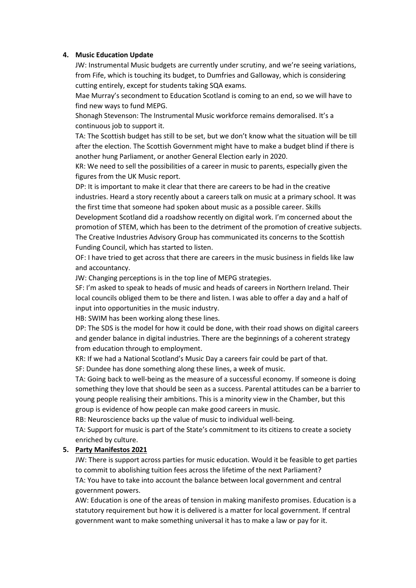## **4. Music Education Update**

JW: Instrumental Music budgets are currently under scrutiny, and we're seeing variations, from Fife, which is touching its budget, to Dumfries and Galloway, which is considering cutting entirely, except for students taking SQA exams.

Mae Murray's secondment to Education Scotland is coming to an end, so we will have to find new ways to fund MEPG.

Shonagh Stevenson: The Instrumental Music workforce remains demoralised. It's a continuous job to support it.

TA: The Scottish budget has still to be set, but we don't know what the situation will be till after the election. The Scottish Government might have to make a budget blind if there is another hung Parliament, or another General Election early in 2020.

KR: We need to sell the possibilities of a career in music to parents, especially given the figures from the UK Music report.

DP: It is important to make it clear that there are careers to be had in the creative industries. Heard a story recently about a careers talk on music at a primary school. It was the first time that someone had spoken about music as a possible career. Skills

Development Scotland did a roadshow recently on digital work. I'm concerned about the promotion of STEM, which has been to the detriment of the promotion of creative subjects. The Creative Industries Advisory Group has communicated its concerns to the Scottish Funding Council, which has started to listen.

OF: I have tried to get across that there are careers in the music business in fields like law and accountancy.

JW: Changing perceptions is in the top line of MEPG strategies.

SF: I'm asked to speak to heads of music and heads of careers in Northern Ireland. Their local councils obliged them to be there and listen. I was able to offer a day and a half of input into opportunities in the music industry.

HB: SWIM has been working along these lines.

DP: The SDS is the model for how it could be done, with their road shows on digital careers and gender balance in digital industries. There are the beginnings of a coherent strategy from education through to employment.

KR: If we had a National Scotland's Music Day a careers fair could be part of that.

SF: Dundee has done something along these lines, a week of music.

TA: Going back to well-being as the measure of a successful economy. If someone is doing something they love that should be seen as a success. Parental attitudes can be a barrier to young people realising their ambitions. This is a minority view in the Chamber, but this group is evidence of how people can make good careers in music.

RB: Neuroscience backs up the value of music to individual well-being.

TA: Support for music is part of the State's commitment to its citizens to create a society enriched by culture.

# **5. Party Manifestos 2021**

JW: There is support across parties for music education. Would it be feasible to get parties to commit to abolishing tuition fees across the lifetime of the next Parliament? TA: You have to take into account the balance between local government and central government powers.

AW: Education is one of the areas of tension in making manifesto promises. Education is a statutory requirement but how it is delivered is a matter for local government. If central government want to make something universal it has to make a law or pay for it.